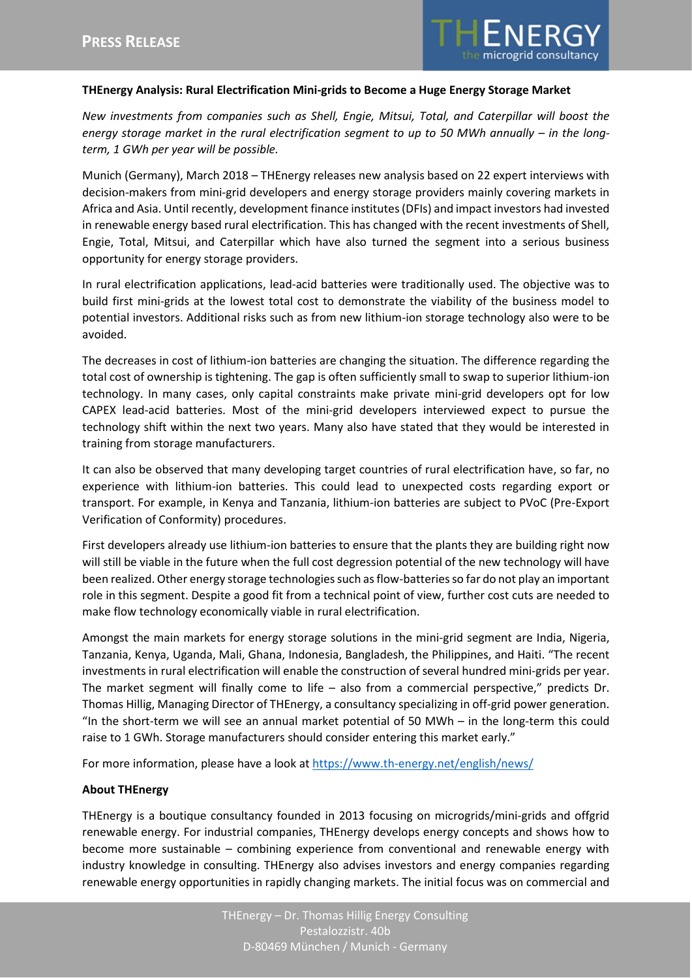

## **THEnergy Analysis: Rural Electrification Mini-grids to Become a Huge Energy Storage Market**

*New investments from companies such as Shell, Engie, Mitsui, Total, and Caterpillar will boost the energy storage market in the rural electrification segment to up to 50 MWh annually – in the longterm, 1 GWh per year will be possible.*

Munich (Germany), March 2018 – THEnergy releases new analysis based on 22 expert interviews with decision-makers from mini-grid developers and energy storage providers mainly covering markets in Africa and Asia. Until recently, development finance institutes (DFIs) and impact investors had invested in renewable energy based rural electrification. This has changed with the recent investments of Shell, Engie, Total, Mitsui, and Caterpillar which have also turned the segment into a serious business opportunity for energy storage providers.

In rural electrification applications, lead-acid batteries were traditionally used. The objective was to build first mini-grids at the lowest total cost to demonstrate the viability of the business model to potential investors. Additional risks such as from new lithium-ion storage technology also were to be avoided.

The decreases in cost of lithium-ion batteries are changing the situation. The difference regarding the total cost of ownership is tightening. The gap is often sufficiently small to swap to superior lithium-ion technology. In many cases, only capital constraints make private mini-grid developers opt for low CAPEX lead-acid batteries. Most of the mini-grid developers interviewed expect to pursue the technology shift within the next two years. Many also have stated that they would be interested in training from storage manufacturers.

It can also be observed that many developing target countries of rural electrification have, so far, no experience with lithium-ion batteries. This could lead to unexpected costs regarding export or transport. For example, in Kenya and Tanzania, lithium-ion batteries are subject to PVoC (Pre-Export Verification of Conformity) procedures.

First developers already use lithium-ion batteries to ensure that the plants they are building right now will still be viable in the future when the full cost degression potential of the new technology will have been realized. Other energy storage technologies such as flow-batteries so far do not play an important role in this segment. Despite a good fit from a technical point of view, further cost cuts are needed to make flow technology economically viable in rural electrification.

Amongst the main markets for energy storage solutions in the mini-grid segment are India, Nigeria, Tanzania, Kenya, Uganda, Mali, Ghana, Indonesia, Bangladesh, the Philippines, and Haiti. "The recent investments in rural electrification will enable the construction of several hundred mini-grids per year. The market segment will finally come to life – also from a commercial perspective," predicts Dr. Thomas Hillig, Managing Director of THEnergy, a consultancy specializing in off-grid power generation. "In the short-term we will see an annual market potential of 50 MWh – in the long-term this could raise to 1 GWh. Storage manufacturers should consider entering this market early."

For more information, please have a look at <https://www.th-energy.net/english/news/>

## **About THEnergy**

THEnergy is a boutique consultancy founded in 2013 focusing on microgrids/mini-grids and offgrid renewable energy. For industrial companies, THEnergy develops energy concepts and shows how to become more sustainable – combining experience from conventional and renewable energy with industry knowledge in consulting. THEnergy also advises investors and energy companies regarding renewable energy opportunities in rapidly changing markets. The initial focus was on commercial and